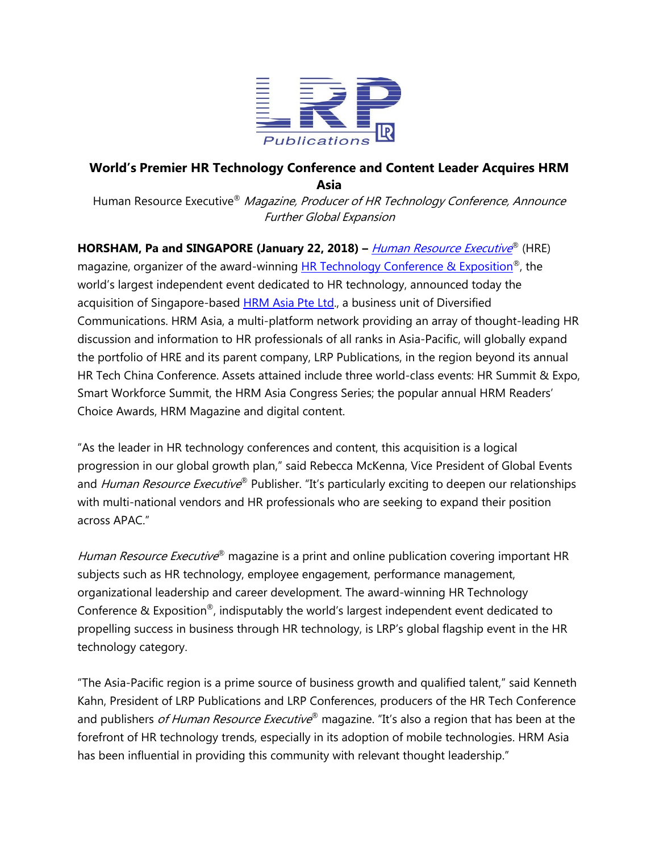

## **World's Premier HR Technology Conference and Content Leader Acquires HRM Asia**

Human Resource Executive<sup>®</sup> Magazine, Producer of HR Technology Conference, Announce Further Global Expansion

**HORSHAM, Pa and SINGAPORE (January 22, 2018)** – *[Human Resource](http://hreonline.com/) Executive*® (HRE) magazine, organizer of the award-winning [HR Technology Conference & Exposition](http://hrtechconference.com/)®, the world's largest independent event dedicated to HR technology, announced today the acquisition of Singapore-based **HRM Asia Pte Ltd.**, a business unit of Diversified Communications. HRM Asia, a multi-platform network providing an array of thought-leading HR discussion and information to HR professionals of all ranks in Asia-Pacific, will globally expand the portfolio of HRE and its parent company, LRP Publications, in the region beyond its annual HR Tech China Conference. Assets attained include three world-class events: HR Summit & Expo, Smart Workforce Summit, the HRM Asia Congress Series; the popular annual HRM Readers' Choice Awards, HRM Magazine and digital content.

"As the leader in HR technology conferences and content, this acquisition is a logical progression in our global growth plan," said Rebecca McKenna, Vice President of Global Events and *Human Resource Executive*® Publisher. "It's particularly exciting to deepen our relationships with multi-national vendors and HR professionals who are seeking to expand their position across APAC."

Human Resource Executive® magazine is a print and online publication covering important HR subjects such as HR technology, employee engagement, performance management, organizational leadership and career development. The award-winning HR Technology Conference & Exposition<sup>®</sup>, indisputably the world's largest independent event dedicated to propelling success in business through HR technology, is LRP's global flagship event in the HR technology category.

"The Asia-Pacific region is a prime source of business growth and qualified talent," said Kenneth Kahn, President of LRP Publications and LRP Conferences, producers of the HR Tech Conference and publishers *of Human Resource Executive*® magazine. "It's also a region that has been at the forefront of HR technology trends, especially in its adoption of mobile technologies. HRM Asia has been influential in providing this community with relevant thought leadership."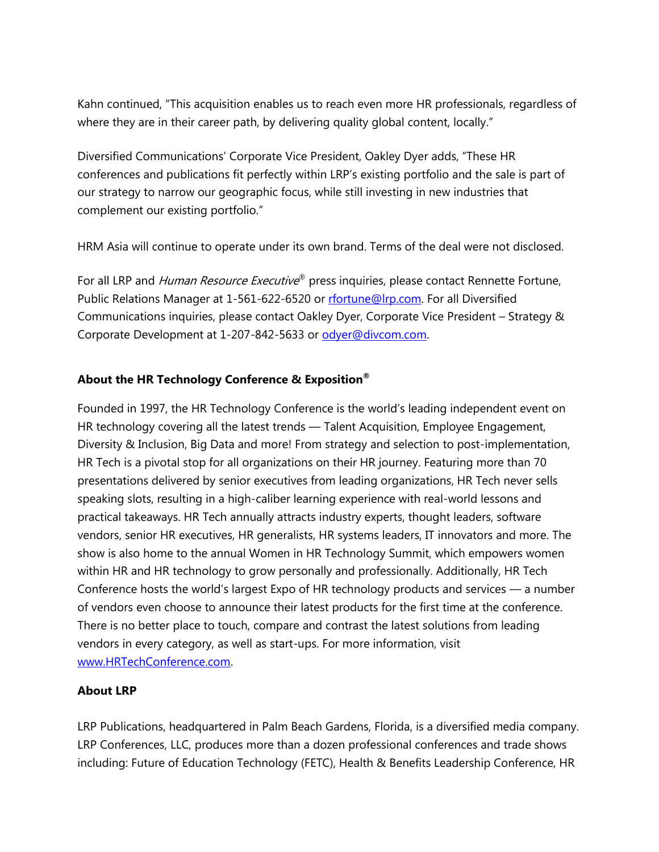Kahn continued, "This acquisition enables us to reach even more HR professionals, regardless of where they are in their career path, by delivering quality global content, locally."

Diversified Communications' Corporate Vice President, Oakley Dyer adds, "These HR conferences and publications fit perfectly within LRP's existing portfolio and the sale is part of our strategy to narrow our geographic focus, while still investing in new industries that complement our existing portfolio."

HRM Asia will continue to operate under its own brand. Terms of the deal were not disclosed.

For all LRP and *Human Resource Executive*® press inquiries, please contact Rennette Fortune, Public Relations Manager at 1-561-622-6520 or [rfortune@lrp.com.](mailto:rfortune@lrp.com) For all Diversified Communications inquiries, please contact Oakley Dyer, Corporate Vice President – Strategy & Corporate Development at 1-207-842-5633 or [odyer@divcom.com.](mailto:odyer@divcom.com)

## **About the HR Technology Conference & Exposition®**

Founded in 1997, the HR Technology Conference is the world's leading independent event on HR technology covering all the latest trends — Talent Acquisition, Employee Engagement, Diversity & Inclusion, Big Data and more! From strategy and selection to post-implementation, HR Tech is a pivotal stop for all organizations on their HR journey. Featuring more than 70 presentations delivered by senior executives from leading organizations, HR Tech never sells speaking slots, resulting in a high-caliber learning experience with real-world lessons and practical takeaways. HR Tech annually attracts industry experts, thought leaders, software vendors, senior HR executives, HR generalists, HR systems leaders, IT innovators and more. The show is also home to the annual Women in HR Technology Summit, which empowers women within HR and HR technology to grow personally and professionally. Additionally, HR Tech Conference hosts the world's largest Expo of HR technology products and services — a number of vendors even choose to announce their latest products for the first time at the conference. There is no better place to touch, compare and contrast the latest solutions from leading vendors in every category, as well as start-ups. For more information, visit [www.HRTechConference.com.](http://www.hrtechconference.com/)

## **About LRP**

LRP Publications, headquartered in Palm Beach Gardens, Florida, is a diversified media company. LRP Conferences, LLC, produces more than a dozen professional conferences and trade shows including: Future of Education Technology (FETC), Health & Benefits Leadership Conference, HR